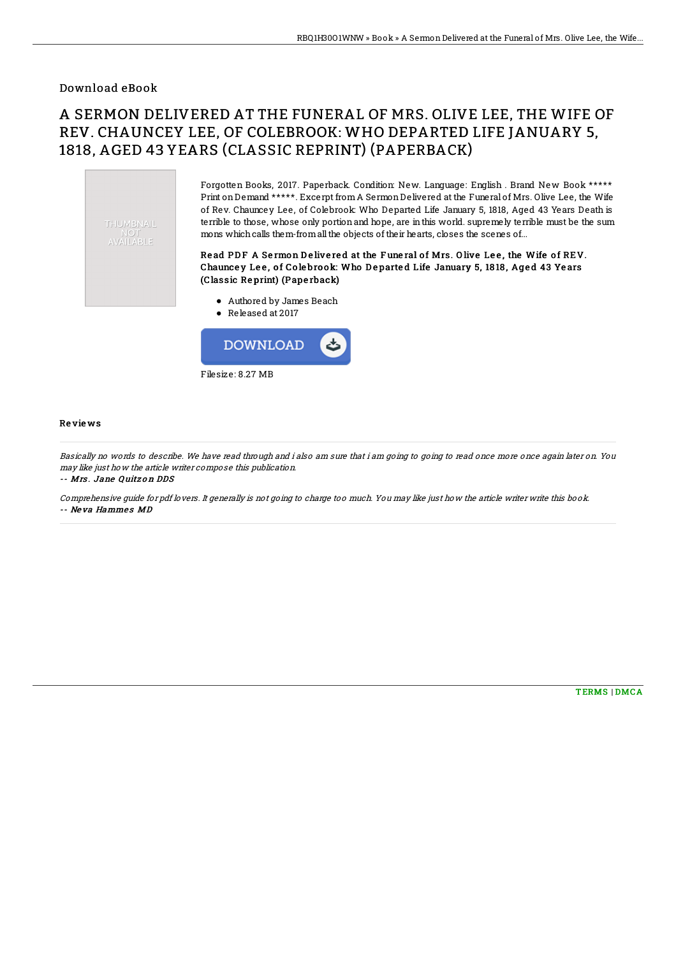# Download eBook

# A SERMON DELIVERED AT THE FUNERAL OF MRS. OLIVE LEE, THE WIFE OF REV. CHAUNCEY LEE, OF COLEBROOK: WHO DEPARTED LIFE JANUARY 5, 1818, AGED 43 YEARS (CLASSIC REPRINT) (PAPERBACK)



Forgotten Books, 2017. Paperback. Condition: New. Language: English . Brand New Book \*\*\*\*\* Print onDemand \*\*\*\*\*. Excerpt fromA SermonDelivered at the Funeral of Mrs. Olive Lee, the Wife of Rev. Chauncey Lee, of Colebrook: Who Departed Life January 5, 1818, Aged 43 Years Death is terrible to those, whose only portionand hope, are inthis world. supremely terrible must be the sum mons which calls them-from all the objects of their hearts, closes the scenes of...

### Read PDF A Sermon Delivered at the Funeral of Mrs. Olive Lee, the Wife of REV. Chauncey Lee, of Colebrook: Who Departed Life January 5, 1818, Aged 43 Years (Classic Re print) (Pape rback)

- Authored by James Beach
- Released at 2017



#### Re vie ws

Basically no words to describe. We have read through and i also am sure that i am going to going to read once more once again later on. You may like just how the article writer compose this publication.

-- Mrs . Jane Quitz <sup>o</sup> <sup>n</sup> DDS

Comprehensive guide for pdf lovers. It generally is not going to charge too much. You may like just how the article writer write this book. -- Neva Hammes MD